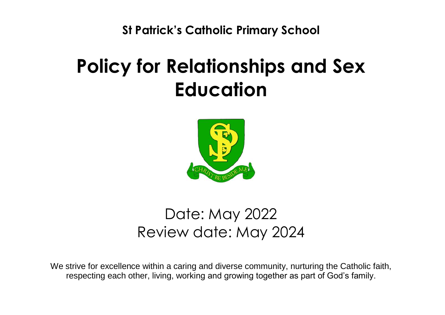**St Patrick's Catholic Primary School**

# **Policy for Relationships and Sex Education**



# Date: May 2022 Review date: May 2024

We strive for excellence within a caring and diverse community, nurturing the Catholic faith, respecting each other, living, working and growing together as part of God's family.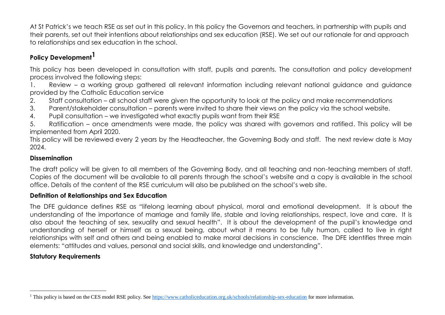At St Patrick's we teach RSE as set out in this policy. In this policy the Governors and teachers, in partnership with pupils and their parents, set out their intentions about relationships and sex education (RSE). We set out our rationale for and approach to relationships and sex education in the school.

# **Policy Development1**

This policy has been developed in consultation with staff, pupils and parents. The consultation and policy development process involved the following steps:

1. Review – a working group gathered all relevant information including relevant national guidance and guidance provided by the Catholic Education service

- 2. Staff consultation all school staff were given the opportunity to look at the policy and make recommendations
- 3. Parent/stakeholder consultation parents were invited to share their views on the policy via the school website.
- 4. Pupil consultation we investigated what exactly pupils want from their RSE

5. Ratification – once amendments were made, the policy was shared with governors and ratified. This policy will be implemented from April 2020.

This policy will be reviewed every 2 years by the Headteacher, the Governing Body and staff. The next review date is May 2024.

# **Dissemination**

The draft policy will be given to all members of the Governing Body, and all teaching and non-teaching members of staff. Copies of the document will be available to all parents through the school's website and a copy is available in the school office. Details of the content of the RSE curriculum will also be published on the school's web site.

# **Definition of Relationships and Sex Education**

The DFE guidance defines RSE as "lifelong learning about physical, moral and emotional development. It is about the understanding of the importance of marriage and family life, stable and loving relationships, respect, love and care. It is also about the teaching of sex, sexuality and sexual health". It is about the development of the pupil's knowledge and understanding of herself or himself as a sexual being, about what it means to be fully human, called to live in right relationships with self and others and being enabled to make moral decisions in conscience. The DFE identifies three main elements: "attitudes and values, personal and social skills, and knowledge and understanding".

# **Statutory Requirements**

 $\overline{a}$ <sup>1</sup> This policy is based on the CES model RSE policy. See<https://www.catholiceducation.org.uk/schools/relationship-sex-education> for more information.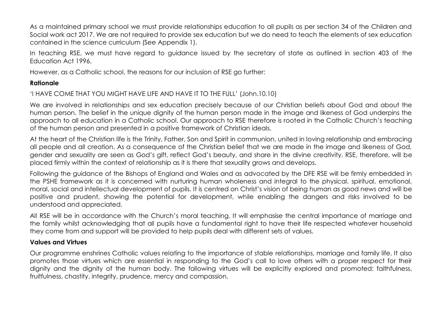As a maintained primary school we must provide relationships education to all pupils as per section 34 of the Children and Social work act 2017. We are not required to provide sex education but we do need to teach the elements of sex education contained in the science curriculum (See Appendix 1).

In teaching RSE, we must have regard to guidance issued by the secretary of state as outlined in section 403 of the Education Act 1996.

However, as a Catholic school, the reasons for our inclusion of RSE go further:

### **Rationale**

'I HAVE COME THAT YOU MIGHT HAVE LIFE AND HAVE IT TO THE FULL' (John.10.10)

We are involved in relationships and sex education precisely because of our Christian beliefs about God and about the human person. The belief in the unique dignity of the human person made in the image and likeness of God underpins the approach to all education in a Catholic school. Our approach to RSE therefore is rooted in the Catholic Church's teaching of the human person and presented in a positive framework of Christian ideals.

At the heart of the Christian life is the Trinity, Father, Son and Spirit in communion, united in loving relationship and embracing all people and all creation. As a consequence of the Christian belief that we are made in the image and likeness of God, gender and sexuality are seen as God's gift, reflect God's beauty, and share in the divine creativity. RSE, therefore, will be placed firmly within the context of relationship as it is there that sexuality grows and develops.

Following the guidance of the Bishops of England and Wales and as advocated by the DFE RSE will be firmly embedded in the PSHE framework as it is concerned with nurturing human wholeness and integral to the physical, spiritual, emotional, moral, social and intellectual development of pupils. It is centred on Christ's vision of being human as good news and will be positive and prudent, showing the potential for development, while enabling the dangers and risks involved to be understood and appreciated.

All RSE will be in accordance with the Church's moral teaching. It will emphasise the central importance of marriage and the family whilst acknowledging that all pupils have a fundamental right to have their life respected whatever household they come from and support will be provided to help pupils deal with different sets of values.

# **Values and Virtues**

Our programme enshrines Catholic values relating to the importance of stable relationships, marriage and family life. It also promotes those virtues which are essential in responding to the God's call to love others with a proper respect for their dignity and the dignity of the human body. The following virtues will be explicitly explored and promoted: faithfulness, fruitfulness, chastity, integrity, prudence, mercy and compassion.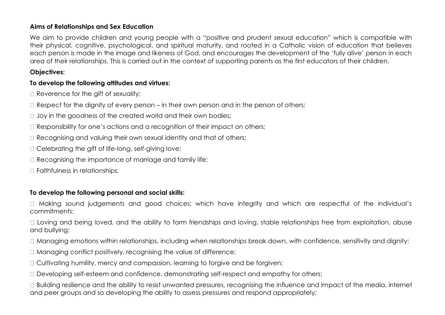### **Aims of Relationships and Sex Education**

We aim to provide children and young people with a "positive and prudent sexual education" which is compatible with their physical, cognitive, psychological, and spiritual maturity, and rooted in a Catholic vision of education that believes each person is made in the image and likeness of God, and encourages the development of the 'fully alive' person in each area of their relationships. This is carried out in the context of supporting parents as the first educators of their children.

# **Objectives:**

# **To develop the following attitudes and virtues:**

 $\Box$  Reverence for the gift of sexuality;

 $\Box$  Respect for the dignity of every person – in their own person and in the person of others;

 $\Box$  Joy in the goodness of the created world and their own bodies;

- $\Box$  Responsibility for one's actions and a recognition of their impact on others;
- $\Box$  Recognising and valuing their own sexual identity and that of others;
- $\Box$  Celebrating the gift of life-long, self-giving love;
- $\Box$  Recognising the importance of marriage and family life;

Faithfulness in relationships.

# **To develop the following personal and social skills:**

Making sound judgements and good choices; which have integrity and which are respectful of the individual's commitments;

 $\Box$  Loving and being loved, and the ability to form friendships and loving, stable relationships free from exploitation, abuse and bullying;

 $\Box$  Managing emotions within relationships, including when relationships break down, with confidence, sensitivity and dignity;

 $\Box$  Managing conflict positively, recognising the value of difference;

□ Cultivating humility, mercy and compassion, learning to forgive and be forgiven;

Developing self-esteem and confidence, demonstrating self-respect and empathy for others;

□ Building resilience and the ability to resist unwanted pressures, recognising the influence and impact of the media, internet and peer groups and so developing the ability to assess pressures and respond appropriately;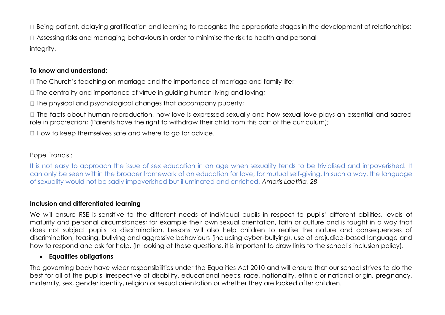$\Box$  Being patient, delaying gratification and learning to recognise the appropriate stages in the development of relationships; Assessing risks and managing behaviours in order to minimise the risk to health and personal integrity.

# **To know and understand:**

 $\Box$  The Church's teaching on marriage and the importance of marriage and family life;

 $\Box$  The centrality and importance of virtue in guiding human living and loving;

 $\Box$  The physical and psychological changes that accompany puberty;

 $\Box$  The facts about human reproduction, how love is expressed sexually and how sexual love plays an essential and sacred role in procreation; (Parents have the right to withdraw their child from this part of the curriculum);

 $\Box$  How to keep themselves safe and where to go for advice.

# Pope Francis :

It is not easy to approach the issue of sex education in an age when sexuality tends to be trivialised and impoverished. It can only be seen within the broader framework of an education for love, for mutual self-giving. In such a way, the language of sexuality would not be sadly impoverished but illuminated and enriched. *Amoris Laetitia, 28*

# **Inclusion and differentiated learning**

We will ensure RSE is sensitive to the different needs of individual pupils in respect to pupils' different abilities, levels of maturity and personal circumstances; for example their own sexual orientation, faith or culture and is taught in a way that does not subject pupils to discrimination. Lessons will also help children to realise the nature and consequences of discrimination, teasing, bullying and aggressive behaviours (including cyber-bullying), use of prejudice-based language and how to respond and ask for help. (In looking at these questions, it is important to draw links to the school's inclusion policy).

# **Equalities obligations**

The governing body have wider responsibilities under the Equalities Act 2010 and will ensure that our school strives to do the best for all of the pupils, irrespective of disability, educational needs, race, nationality, ethnic or national origin, pregnancy, maternity, sex, gender identity, religion or sexual orientation or whether they are looked after children.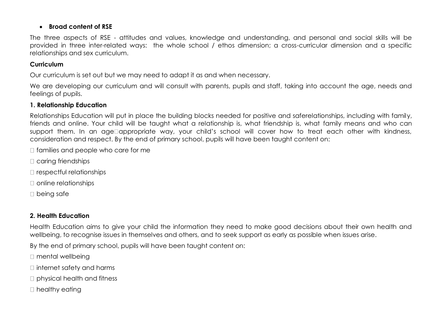### **Broad content of RSE**

The three aspects of RSE - attitudes and values, knowledge and understanding, and personal and social skills will be provided in three inter-related ways: the whole school / ethos dimension; a cross-curricular dimension and a specific relationships and sex curriculum.

# **Curriculum**

Our curriculum is set out but we may need to adapt it as and when necessary.

We are developing our curriculum and will consult with parents, pupils and staff, taking into account the age, needs and feelings of pupils.

# **1. Relationship Education**

Relationships Education will put in place the building blocks needed for positive and saferelationships, including with family, friends and online. Your child will be taught what a relationship is, what friendship is, what family means and who can support them. In an age¤appropriate way, your child's school will cover how to treat each other with kindness, consideration and respect. By the end of primary school, pupils will have been taught content on:

 $\Box$  families and people who care for me

□ caring friendships

 $\Box$  respectful relationships

 $\Box$  online relationships

□ being safe

# **2. Health Education**

Health Education aims to give your child the information they need to make good decisions about their own health and wellbeing, to recognise issues in themselves and others, and to seek support as early as possible when issues arise.

By the end of primary school, pupils will have been taught content on:

- □ mental wellbeing
- $\Box$  internet safety and harms
- □ physical health and fitness
- □ healthy eating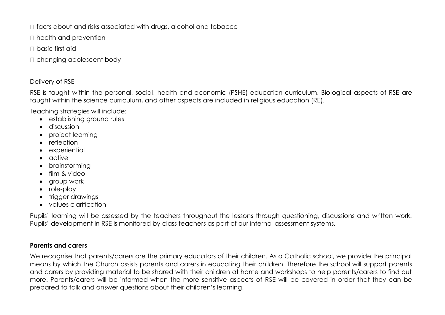$\Box$  facts about and risks associated with drugs, alcohol and tobacco

 $\Box$  health and prevention

basic first aid

□ changing adolescent body

# Delivery of RSE

RSE is taught within the personal, social, health and economic (PSHE) education curriculum. Biological aspects of RSE are taught within the science curriculum, and other aspects are included in religious education (RE).

Teaching strategies will include:

- establishing ground rules
- **discussion**
- project learning
- reflection
- experiential
- active
- brainstormina
- film & video
- group work
- role-play
- trigger drawings
- values clarification

Pupils' learning will be assessed by the teachers throughout the lessons through questioning, discussions and written work. Pupils' development in RSE is monitored by class teachers as part of our internal assessment systems.

# **Parents and carers**

We recognise that parents/carers are the primary educators of their children. As a Catholic school, we provide the principal means by which the Church assists parents and carers in educating their children. Therefore the school will support parents and carers by providing material to be shared with their children at home and workshops to help parents/carers to find out more. Parents/carers will be informed when the more sensitive aspects of RSE will be covered in order that they can be prepared to talk and answer questions about their children's learning.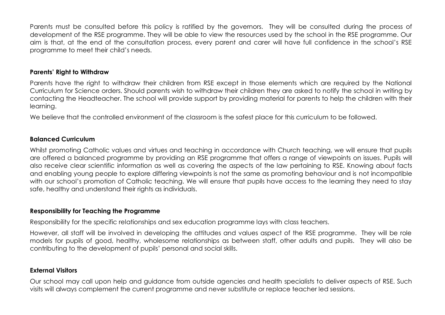Parents must be consulted before this policy is ratified by the governors. They will be consulted during the process of development of the RSE programme. They will be able to view the resources used by the school in the RSE programme. Our aim is that, at the end of the consultation process, every parent and carer will have full confidence in the school's RSE programme to meet their child's needs.

#### **Parents' Right to Withdraw**

Parents have the right to withdraw their children from RSE except in those elements which are required by the National Curriculum for Science orders. Should parents wish to withdraw their children they are asked to notify the school in writing by contacting the Headteacher. The school will provide support by providing material for parents to help the children with their learning.

We believe that the controlled environment of the classroom is the safest place for this curriculum to be followed.

#### **Balanced Curriculum**

Whilst promoting Catholic values and virtues and teaching in accordance with Church teaching, we will ensure that pupils are offered a balanced programme by providing an RSE programme that offers a range of viewpoints on issues. Pupils will also receive clear scientific information as well as covering the aspects of the law pertaining to RSE. Knowing about facts and enabling young people to explore differing viewpoints is not the same as promoting behaviour and is not incompatible with our school's promotion of Catholic teaching. We will ensure that pupils have access to the learning they need to stay safe, healthy and understand their rights as individuals.

#### **Responsibility for Teaching the Programme**

Responsibility for the specific relationships and sex education programme lays with class teachers.

However, all staff will be involved in developing the attitudes and values aspect of the RSE programme. They will be role models for pupils of good, healthy, wholesome relationships as between staff, other adults and pupils. They will also be contributing to the development of pupils' personal and social skills.

# **External Visitors**

Our school may call upon help and guidance from outside agencies and health specialists to deliver aspects of RSE. Such visits will always complement the current programme and never substitute or replace teacher led sessions.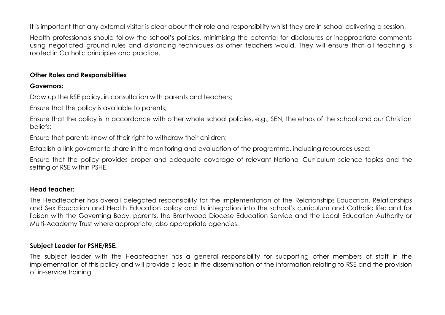It is important that any external visitor is clear about their role and responsibility whilst they are in school delivering a session.

Health professionals should follow the school's policies, minimising the potential for disclosures or inappropriate comments using negotiated ground rules and distancing techniques as other teachers would. They will ensure that all teaching is rooted in Catholic principles and practice.

#### **Other Roles and Responsibilities**

#### **Governors:**

Draw up the RSE policy, in consultation with parents and teachers;

Ensure that the policy is available to parents;

Ensure that the policy is in accordance with other whole school policies, e.g., SEN, the ethos of the school and our Christian beliefs;

Ensure that parents know of their right to withdraw their children;

Establish a link governor to share in the monitoring and evaluation of the programme, including resources used;

Ensure that the policy provides proper and adequate coverage of relevant National Curriculum science topics and the setting of RSE within PSHE.

#### **Head teacher:**

The Headteacher has overall delegated responsibility for the implementation of the Relationships Education, Relationships and Sex Education and Health Education policy and its integration into the school's curriculum and Catholic life; and for liaison with the Governing Body, parents, the Brentwood Diocese Education Service and the Local Education Authority or Multi-Academy Trust where appropriate, also appropriate agencies.

#### **Subject Leader for PSHE/RSE:**

The subject leader with the Headteacher has a general responsibility for supporting other members of staff in the implementation of this policy and will provide a lead in the dissemination of the information relating to RSE and the provision of in-service training.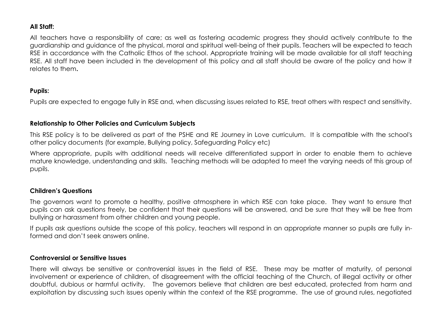#### **All Staff:**

All teachers have a responsibility of care; as well as fostering academic progress they should actively contribute to the guardianship and guidance of the physical, moral and spiritual well-being of their pupils. Teachers will be expected to teach RSE in accordance with the Catholic Ethos of the school. Appropriate training will be made available for all staff teaching RSE. All staff have been included in the development of this policy and all staff should be aware of the policy and how it relates to them**.**

# **Pupils:**

Pupils are expected to engage fully in RSE and, when discussing issues related to RSE, treat others with respect and sensitivity.

# **Relationship to Other Policies and Curriculum Subjects**

This RSE policy is to be delivered as part of the PSHE and RE Journey in Love curriculum. It is compatible with the school's other policy documents (for example, Bullying policy, Safeguarding Policy etc)

Where appropriate, pupils with additional needs will receive differentiated support in order to enable them to achieve mature knowledge, understanding and skills. Teaching methods will be adapted to meet the varying needs of this group of pupils.

# **Children's Questions**

The governors want to promote a healthy, positive atmosphere in which RSE can take place. They want to ensure that pupils can ask questions freely, be confident that their questions will be answered, and be sure that they will be free from bullying or harassment from other children and young people.

If pupils ask questions outside the scope of this policy, teachers will respond in an appropriate manner so pupils are fully informed and don't seek answers online.

#### **Controversial or Sensitive Issues**

There will always be sensitive or controversial issues in the field of RSE. These may be matter of maturity, of personal involvement or experience of children, of disagreement with the official teaching of the Church, of illegal activity or other doubtful, dubious or harmful activity. The governors believe that children are best educated, protected from harm and exploitation by discussing such issues openly within the context of the RSE programme. The use of ground rules, negotiated